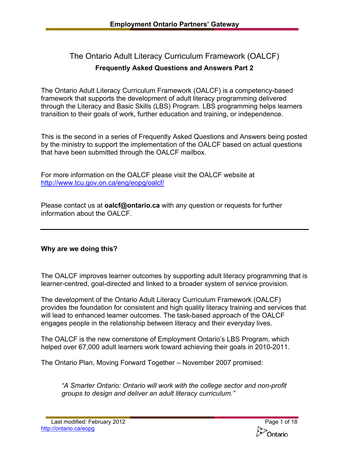# The Ontario Adult Literacy Curriculum Framework (OALCF) **Frequently Asked Questions and Answers Part 2**

The Ontario Adult Literacy Curriculum Framework (OALCF) is a competency-based framework that supports the development of adult literacy programming delivered through the Literacy and Basic Skills (LBS) Program. LBS programming helps learners transition to their goals of work, further education and training, or independence.

This is the second in a series of Frequently Asked Questions and Answers being posted by the ministry to support the implementation of the OALCF based on actual questions that have been submitted through the OALCF mailbox.

For more information on the OALCF please visit the OALCF website at <http://www.tcu.gov.on.ca/eng/eopg/oalcf/>

Please contact us at **[oalcf@ontario.ca](mailto:oalcf@ontario.ca)** with any question or requests for further information about the OALCF.

# **Why are we doing this?**

The OALCF improves learner outcomes by supporting adult literacy programming that is learner-centred, goal-directed and linked to a broader system of service provision.

The development of the Ontario Adult Literacy Curriculum Framework (OALCF) provides the foundation for consistent and high quality literacy training and services that will lead to enhanced learner outcomes. The task-based approach of the OALCF engages people in the relationship between literacy and their everyday lives.

The OALCF is the new cornerstone of Employment Ontario's LBS Program, which helped over 67,000 adult learners work toward achieving their goals in 2010-2011.

The Ontario Plan, Moving Forward Together – November 2007 promised:

*"A Smarter Ontario: Ontario will work with the college sector and non-profit groups to design and deliver an adult literacy curriculum."* 

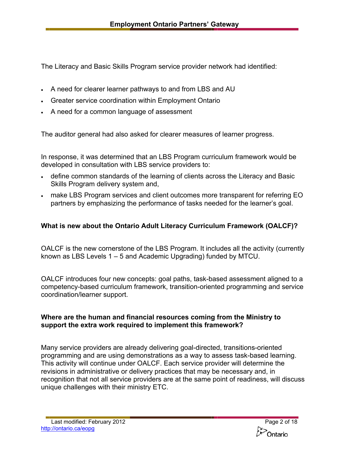The Literacy and Basic Skills Program service provider network had identified:

- A need for clearer learner pathways to and from LBS and AU
- Greater service coordination within Employment Ontario
- A need for a common language of assessment

The auditor general had also asked for clearer measures of learner progress.

In response, it was determined that an LBS Program curriculum framework would be developed in consultation with LBS service providers to:

- define common standards of the learning of clients across the Literacy and Basic Skills Program delivery system and,
- make LBS Program services and client outcomes more transparent for referring EO partners by emphasizing the performance of tasks needed for the learner's goal.

# **What is new about the Ontario Adult Literacy Curriculum Framework (OALCF)?**

OALCF is the new cornerstone of the LBS Program. It includes all the activity (currently known as LBS Levels 1 – 5 and Academic Upgrading) funded by MTCU.

OALCF introduces four new concepts: goal paths, task-based assessment aligned to a competency-based curriculum framework, transition-oriented programming and service coordination/learner support.

#### **Where are the human and financial resources coming from the Ministry to support the extra work required to implement this framework?**

Many service providers are already delivering goal-directed, transitions-oriented programming and are using demonstrations as a way to assess task-based learning. This activity will continue under OALCF. Each service provider will determine the revisions in administrative or delivery practices that may be necessary and, in recognition that not all service providers are at the same point of readiness, will discuss unique challenges with their ministry ETC.

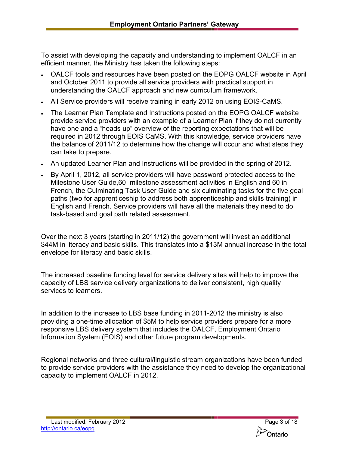To assist with developing the capacity and understanding to implement OALCF in an efficient manner, the Ministry has taken the following steps:

- OALCF tools and resources have been posted on the EOPG OALCF website in April and October 2011 to provide all service providers with practical support in understanding the OALCF approach and new curriculum framework.
- All Service providers will receive training in early 2012 on using EOIS-CaMS.
- The Learner Plan Template and Instructions posted on the EOPG OALCF website provide service providers with an example of a Learner Plan if they do not currently have one and a "heads up" overview of the reporting expectations that will be required in 2012 through EOIS CaMS. With this knowledge, service providers have the balance of 2011/12 to determine how the change will occur and what steps they can take to prepare.
- An updated Learner Plan and Instructions will be provided in the spring of 2012.
- By April 1, 2012, all service providers will have password protected access to the Milestone User Guide,60 milestone assessment activities in English and 60 in French, the Culminating Task User Guide and six culminating tasks for the five goal paths (two for apprenticeship to address both apprenticeship and skills training) in English and French. Service providers will have all the materials they need to do task-based and goal path related assessment.

Over the next 3 years (starting in 2011/12) the government will invest an additional \$44M in literacy and basic skills. This translates into a \$13M annual increase in the total envelope for literacy and basic skills.

The increased baseline funding level for service delivery sites will help to improve the capacity of LBS service delivery organizations to deliver consistent, high quality services to learners.

In addition to the increase to LBS base funding in 2011-2012 the ministry is also providing a one-time allocation of \$5M to help service providers prepare for a more responsive LBS delivery system that includes the OALCF, Employment Ontario Information System (EOIS) and other future program developments.

Regional networks and three cultural/linguistic stream organizations have been funded to provide service providers with the assistance they need to develop the organizational capacity to implement OALCF in 2012.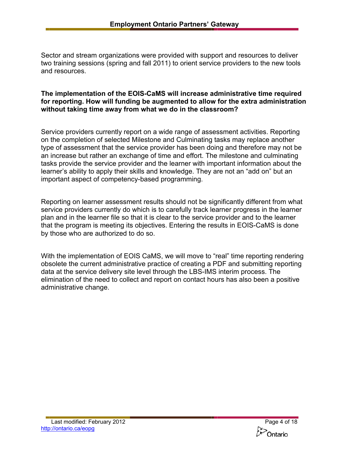Sector and stream organizations were provided with support and resources to deliver two training sessions (spring and fall 2011) to orient service providers to the new tools and resources.

#### **The implementation of the EOIS-CaMS will increase administrative time required for reporting. How will funding be augmented to allow for the extra administration without taking time away from what we do in the classroom?**

Service providers currently report on a wide range of assessment activities. Reporting on the completion of selected Milestone and Culminating tasks may replace another type of assessment that the service provider has been doing and therefore may not be an increase but rather an exchange of time and effort. The milestone and culminating tasks provide the service provider and the learner with important information about the learner's ability to apply their skills and knowledge. They are not an "add on" but an important aspect of competency-based programming.

Reporting on learner assessment results should not be significantly different from what service providers currently do which is to carefully track learner progress in the learner plan and in the learner file so that it is clear to the service provider and to the learner that the program is meeting its objectives. Entering the results in EOIS-CaMS is done by those who are authorized to do so.

With the implementation of EOIS CaMS, we will move to "real" time reporting rendering obsolete the current administrative practice of creating a PDF and submitting reporting data at the service delivery site level through the LBS-IMS interim process. The elimination of the need to collect and report on contact hours has also been a positive administrative change.

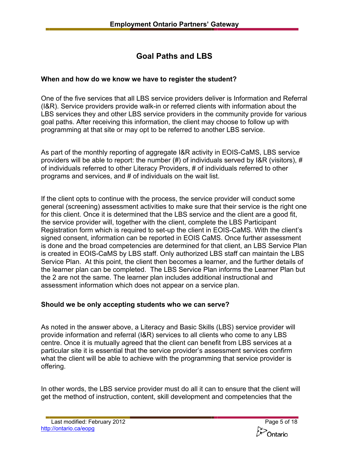# **Goal Paths and LBS**

# **When and how do we know we have to register the student?**

One of the five services that all LBS service providers deliver is Information and Referral (I&R). Service providers provide walk-in or referred clients with information about the LBS services they and other LBS service providers in the community provide for various goal paths. After receiving this information, the client may choose to follow up with programming at that site or may opt to be referred to another LBS service.

As part of the monthly reporting of aggregate I&R activity in EOIS-CaMS, LBS service providers will be able to report: the number  $(\#)$  of individuals served by I&R (visitors),  $\#$ of individuals referred to other Literacy Providers, # of individuals referred to other programs and services, and # of individuals on the wait list.

If the client opts to continue with the process, the service provider will conduct some general (screening) assessment activities to make sure that their service is the right one for this client. Once it is determined that the LBS service and the client are a good fit, the service provider will, together with the client, complete the LBS Participant Registration form which is required to set-up the client in EOIS-CaMS. With the client's signed consent, information can be reported in EOIS CaMS. Once further assessment is done and the broad competencies are determined for that client, an LBS Service Plan is created in EOIS-CaMS by LBS staff. Only authorized LBS staff can maintain the LBS Service Plan. At this point, the client then becomes a learner, and the further details of the learner plan can be completed. The LBS Service Plan informs the Learner Plan but the 2 are not the same. The learner plan includes additional instructional and assessment information which does not appear on a service plan.

# **Should we be only accepting students who we can serve?**

As noted in the answer above, a Literacy and Basic Skills (LBS) service provider will provide information and referral (I&R) services to all clients who come to any LBS centre. Once it is mutually agreed that the client can benefit from LBS services at a particular site it is essential that the service provider's assessment services confirm what the client will be able to achieve with the programming that service provider is offering.

In other words, the LBS service provider must do all it can to ensure that the client will get the method of instruction, content, skill development and competencies that the

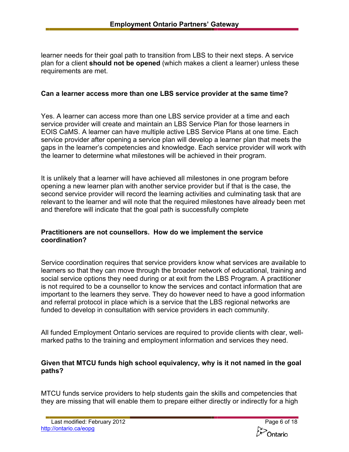learner needs for their goal path to transition from LBS to their next steps. A service plan for a client **should not be opened** (which makes a client a learner) unless these requirements are met.

#### **Can a learner access more than one LBS service provider at the same time?**

Yes. A learner can access more than one LBS service provider at a time and each service provider will create and maintain an LBS Service Plan for those learners in EOIS CaMS. A learner can have multiple active LBS Service Plans at one time. Each service provider after opening a service plan will develop a learner plan that meets the gaps in the learner's competencies and knowledge. Each service provider will work with the learner to determine what milestones will be achieved in their program.

It is unlikely that a learner will have achieved all milestones in one program before opening a new learner plan with another service provider but if that is the case, the second service provider will record the learning activities and culminating task that are relevant to the learner and will note that the required milestones have already been met and therefore will indicate that the goal path is successfully complete

## **Practitioners are not counsellors. How do we implement the service coordination?**

Service coordination requires that service providers know what services are available to learners so that they can move through the broader network of educational, training and social service options they need during or at exit from the LBS Program. A practitioner is not required to be a counsellor to know the services and contact information that are important to the learners they serve. They do however need to have a good information and referral protocol in place which is a service that the LBS regional networks are funded to develop in consultation with service providers in each community.

All funded Employment Ontario services are required to provide clients with clear, wellmarked paths to the training and employment information and services they need.

#### **Given that MTCU funds high school equivalency, why is it not named in the goal paths?**

MTCU funds service providers to help students gain the skills and competencies that they are missing that will enable them to prepare either directly or indirectly for a high

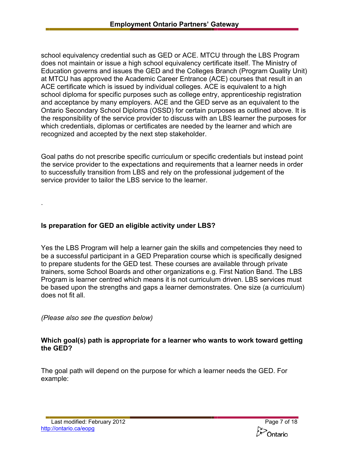school equivalency credential such as GED or ACE. MTCU through the LBS Program does not maintain or issue a high school equivalency certificate itself. The Ministry of Education governs and issues the GED and the Colleges Branch (Program Quality Unit) at MTCU has approved the Academic Career Entrance (ACE) courses that result in an ACE certificate which is issued by individual colleges. ACE is equivalent to a high school diploma for specific purposes such as college entry, apprenticeship registration and acceptance by many employers. ACE and the GED serve as an equivalent to the Ontario Secondary School Diploma (OSSD) for certain purposes as outlined above. It is the responsibility of the service provider to discuss with an LBS learner the purposes for which credentials, diplomas or certificates are needed by the learner and which are recognized and accepted by the next step stakeholder.

Goal paths do not prescribe specific curriculum or specific credentials but instead point the service provider to the expectations and requirements that a learner needs in order to successfully transition from LBS and rely on the professional judgement of the service provider to tailor the LBS service to the learner.

## **Is preparation for GED an eligible activity under LBS?**

Yes the LBS Program will help a learner gain the skills and competencies they need to be a successful participant in a GED Preparation course which is specifically designed to prepare students for the GED test. These courses are available through private trainers, some School Boards and other organizations e.g. First Nation Band. The LBS Program is learner centred which means it is not curriculum driven. LBS services must be based upon the strengths and gaps a learner demonstrates. One size (a curriculum) does not fit all.

*(Please also see the question below)* 

.

## **Which goal(s) path is appropriate for a learner who wants to work toward getting the GED?**

The goal path will depend on the purpose for which a learner needs the GED. For example: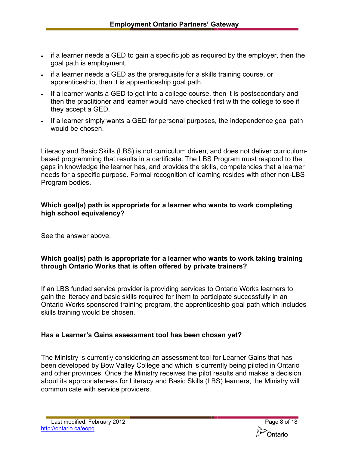- if a learner needs a GED to gain a specific job as required by the employer, then the goal path is employment.
- if a learner needs a GED as the prerequisite for a skills training course, or apprenticeship, then it is apprenticeship goal path.
- If a learner wants a GED to get into a college course, then it is postsecondary and then the practitioner and learner would have checked first with the college to see if they accept a GED.
- If a learner simply wants a GED for personal purposes, the independence goal path would be chosen.

Literacy and Basic Skills (LBS) is not curriculum driven, and does not deliver curriculumbased programming that results in a certificate. The LBS Program must respond to the gaps in knowledge the learner has, and provides the skills, competencies that a learner needs for a specific purpose. Formal recognition of learning resides with other non-LBS Program bodies.

## **Which goal(s) path is appropriate for a learner who wants to work completing high school equivalency?**

See the answer above.

# **Which goal(s) path is appropriate for a learner who wants to work taking training through Ontario Works that is often offered by private trainers?**

If an LBS funded service provider is providing services to Ontario Works learners to gain the literacy and basic skills required for them to participate successfully in an Ontario Works sponsored training program, the apprenticeship goal path which includes skills training would be chosen.

# **Has a Learner's Gains assessment tool has been chosen yet?**

The Ministry is currently considering an assessment tool for Learner Gains that has been developed by Bow Valley College and which is currently being piloted in Ontario and other provinces. Once the Ministry receives the pilot results and makes a decision about its appropriateness for Literacy and Basic Skills (LBS) learners, the Ministry will communicate with service providers.

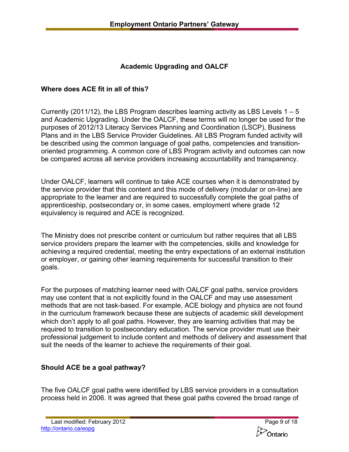# **Academic Upgrading and OALCF**

## **Where does ACE fit in all of this?**

Currently (2011/12), the LBS Program describes learning activity as LBS Levels  $1 - 5$ and Academic Upgrading. Under the OALCF, these terms will no longer be used for the purposes of 2012/13 Literacy Services Planning and Coordination (LSCP), Business Plans and in the LBS Service Provider Guidelines. All LBS Program funded activity will be described using the common language of goal paths, competencies and transitionoriented programming. A common core of LBS Program activity and outcomes can now be compared across all service providers increasing accountability and transparency.

Under OALCF, learners will continue to take ACE courses when it is demonstrated by the service provider that this content and this mode of delivery (modular or on-line) are appropriate to the learner and are required to successfully complete the goal paths of apprenticeship, postsecondary or, in some cases, employment where grade 12 equivalency is required and ACE is recognized.

The Ministry does not prescribe content or curriculum but rather requires that all LBS service providers prepare the learner with the competencies, skills and knowledge for achieving a required credential, meeting the entry expectations of an external institution or employer, or gaining other learning requirements for successful transition to their goals.

For the purposes of matching learner need with OALCF goal paths, service providers may use content that is not explicitly found in the OALCF and may use assessment methods that are not task-based. For example, ACE biology and physics are not found in the curriculum framework because these are subjects of academic skill development which don't apply to all goal paths. However, they are learning activities that may be required to transition to postsecondary education. The service provider must use their professional judgement to include content and methods of delivery and assessment that suit the needs of the learner to achieve the requirements of their goal.

## **Should ACE be a goal pathway?**

The five OALCF goal paths were identified by LBS service providers in a consultation process held in 2006. It was agreed that these goal paths covered the broad range of

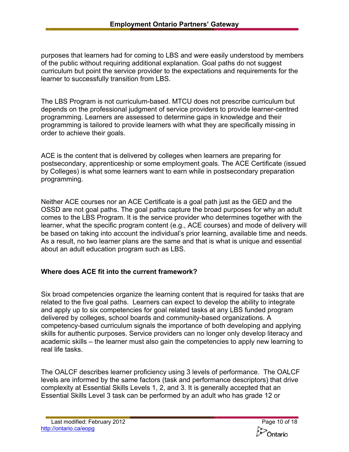purposes that learners had for coming to LBS and were easily understood by members of the public without requiring additional explanation. Goal paths do not suggest curriculum but point the service provider to the expectations and requirements for the learner to successfully transition from LBS.

The LBS Program is not curriculum-based. MTCU does not prescribe curriculum but depends on the professional judgment of service providers to provide learner-centred programming. Learners are assessed to determine gaps in knowledge and their programming is tailored to provide learners with what they are specifically missing in order to achieve their goals.

ACE is the content that is delivered by colleges when learners are preparing for postsecondary, apprenticeship or some employment goals. The ACE Certificate (issued by Colleges) is what some learners want to earn while in postsecondary preparation programming.

Neither ACE courses nor an ACE Certificate is a goal path just as the GED and the OSSD are not goal paths. The goal paths capture the broad purposes for why an adult comes to the LBS Program. It is the service provider who determines together with the learner, what the specific program content (e.g., ACE courses) and mode of delivery will be based on taking into account the individual's prior learning, available time and needs. As a result, no two learner plans are the same and that is what is unique and essential about an adult education program such as LBS.

## **Where does ACE fit into the current framework?**

Six broad competencies organize the learning content that is required for tasks that are related to the five goal paths. Learners can expect to develop the ability to integrate and apply up to six competencies for goal related tasks at any LBS funded program delivered by colleges, school boards and community-based organizations. A competency-based curriculum signals the importance of both developing and applying skills for authentic purposes. Service providers can no longer only develop literacy and academic skills – the learner must also gain the competencies to apply new learning to real life tasks.

The OALCF describes learner proficiency using 3 levels of performance. The OALCF levels are informed by the same factors (task and performance descriptors) that drive complexity at Essential Skills Levels 1, 2, and 3. It is generally accepted that an Essential Skills Level 3 task can be performed by an adult who has grade 12 or

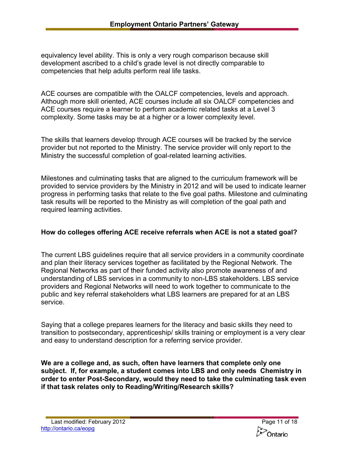equivalency level ability. This is only a very rough comparison because skill development ascribed to a child's grade level is not directly comparable to competencies that help adults perform real life tasks.

ACE courses are compatible with the OALCF competencies, levels and approach. Although more skill oriented, ACE courses include all six OALCF competencies and ACE courses require a learner to perform academic related tasks at a Level 3 complexity. Some tasks may be at a higher or a lower complexity level.

The skills that learners develop through ACE courses will be tracked by the service provider but not reported to the Ministry. The service provider will only report to the Ministry the successful completion of goal-related learning activities.

Milestones and culminating tasks that are aligned to the curriculum framework will be provided to service providers by the Ministry in 2012 and will be used to indicate learner progress in performing tasks that relate to the five goal paths. Milestone and culminating task results will be reported to the Ministry as will completion of the goal path and required learning activities.

## **How do colleges offering ACE receive referrals when ACE is not a stated goal?**

The current LBS guidelines require that all service providers in a community coordinate and plan their literacy services together as facilitated by the Regional Network. The Regional Networks as part of their funded activity also promote awareness of and understanding of LBS services in a community to non-LBS stakeholders. LBS service providers and Regional Networks will need to work together to communicate to the public and key referral stakeholders what LBS learners are prepared for at an LBS service.

Saying that a college prepares learners for the literacy and basic skills they need to transition to postsecondary, apprenticeship/ skills training or employment is a very clear and easy to understand description for a referring service provider.

**We are a college and, as such, often have learners that complete only one subject. If, for example, a student comes into LBS and only needs Chemistry in order to enter Post-Secondary, would they need to take the culminating task even if that task relates only to Reading/Writing/Research skills?** 

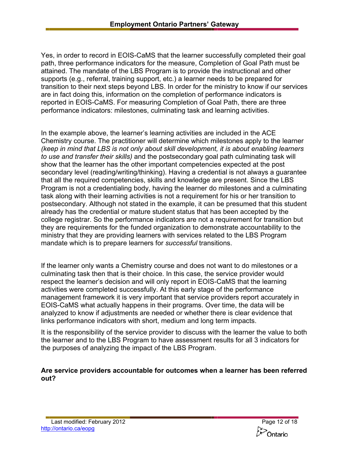Yes, in order to record in EOIS-CaMS that the learner successfully completed their goal path, three performance indicators for the measure, Completion of Goal Path must be attained. The mandate of the LBS Program is to provide the instructional and other supports (e.g., referral, training support, etc.) a learner needs to be prepared for transition to their next steps beyond LBS. In order for the ministry to know if our services are in fact doing this, information on the completion of performance indicators is reported in EOIS-CaMS. For measuring Completion of Goal Path, there are three performance indicators: milestones, culminating task and learning activities.

In the example above, the learner's learning activities are included in the ACE Chemistry course. The practitioner will determine which milestones apply to the learner *(keep in mind that LBS is not only about skill development, it is about enabling learners to use and transfer their skills)* and the postsecondary goal path culminating task will show that the learner has the other important competencies expected at the post secondary level (reading/writing/thinking). Having a credential is not always a guarantee that all the required competencies, skills and knowledge are present. Since the LBS Program is not a credentialing body, having the learner do milestones and a culminating task along with their learning activities is not a requirement for his or her transition to postsecondary. Although not stated in the example, it can be presumed that this student already has the credential or mature student status that has been accepted by the college registrar. So the performance indicators are not a requirement for transition but they are requirements for the funded organization to demonstrate accountability to the ministry that they are providing learners with services related to the LBS Program mandate which is to prepare learners for *successful* transitions.

If the learner only wants a Chemistry course and does not want to do milestones or a culminating task then that is their choice. In this case, the service provider would respect the learner's decision and will only report in EOIS-CaMS that the learning activities were completed successfully. At this early stage of the performance management framework it is very important that service providers report accurately in EOIS-CaMS what actually happens in their programs. Over time, the data will be analyzed to know if adjustments are needed or whether there is clear evidence that links performance indicators with short, medium and long term impacts.

It is the responsibility of the service provider to discuss with the learner the value to both the learner and to the LBS Program to have assessment results for all 3 indicators for the purposes of analyzing the impact of the LBS Program.

#### **Are service providers accountable for outcomes when a learner has been referred out?**

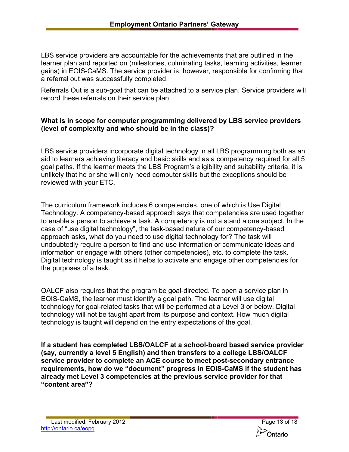LBS service providers are accountable for the achievements that are outlined in the learner plan and reported on (milestones, culminating tasks, learning activities, learner gains) in EOIS-CaMS. The service provider is, however, responsible for confirming that a referral out was successfully completed.

Referrals Out is a sub-goal that can be attached to a service plan. Service providers will record these referrals on their service plan.

## **What is in scope for computer programming delivered by LBS service providers (level of complexity and who should be in the class)?**

LBS service providers incorporate digital technology in all LBS programming both as an aid to learners achieving literacy and basic skills and as a competency required for all 5 goal paths. If the learner meets the LBS Program's eligibility and suitability criteria, it is unlikely that he or she will only need computer skills but the exceptions should be reviewed with your ETC.

The curriculum framework includes 6 competencies, one of which is Use Digital Technology. A competency-based approach says that competencies are used together to enable a person to achieve a task. A competency is not a stand alone subject. In the case of "use digital technology", the task-based nature of our competency-based approach asks, what do you need to use digital technology for? The task will undoubtedly require a person to find and use information or communicate ideas and information or engage with others (other competencies), etc. to complete the task. Digital technology is taught as it helps to activate and engage other competencies for the purposes of a task.

OALCF also requires that the program be goal-directed. To open a service plan in EOIS-CaMS, the learner must identify a goal path. The learner will use digital technology for goal-related tasks that will be performed at a Level 3 or below. Digital technology will not be taught apart from its purpose and context. How much digital technology is taught will depend on the entry expectations of the goal.

**If a student has completed LBS/OALCF at a school-board based service provider (say, currently a level 5 English) and then transfers to a college LBS/OALCF service provider to complete an ACE course to meet post-secondary entrance requirements, how do we "document" progress in EOIS-CaMS if the student has already met Level 3 competencies at the previous service provider for that "content area"?**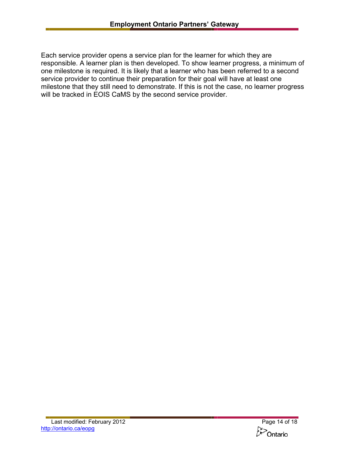Each service provider opens a service plan for the learner for which they are responsible. A learner plan is then developed. To show learner progress, a minimum of one milestone is required. It is likely that a learner who has been referred to a second service provider to continue their preparation for their goal will have at least one milestone that they still need to demonstrate. If this is not the case, no learner progress will be tracked in EOIS CaMS by the second service provider.

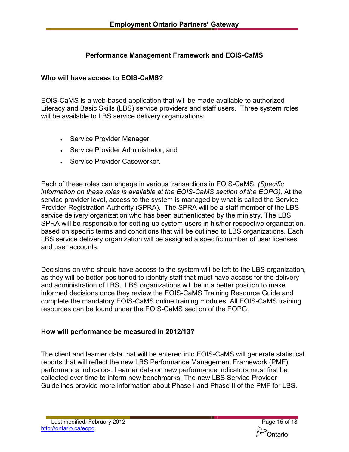# **Performance Management Framework and EOIS-CaMS**

# **Who will have access to EOIS-CaMS?**

EOIS-CaMS is a web-based application that will be made available to authorized Literacy and Basic Skills (LBS) service providers and staff users. Three system roles will be available to LBS service delivery organizations:

- Service Provider Manager,
- Service Provider Administrator, and
- Service Provider Caseworker.

 service provider level, access to the system is managed by what is called the Service Each of these roles can engage in various transactions in EOIS-CaMS. *(Specific information on these roles is available at the EOIS-CaMS section of the EOPG).* At the Provider Registration Authority (SPRA). The SPRA will be a staff member of the LBS service delivery organization who has been authenticated by the ministry. The LBS SPRA will be responsible for setting-up system users in his/her respective organization, based on specific terms and conditions that will be outlined to LBS organizations. Each LBS service delivery organization will be assigned a specific number of user licenses and user accounts.

Decisions on who should have access to the system will be left to the LBS organization, as they will be better positioned to identify staff that must have access for the delivery and administration of LBS. LBS organizations will be in a better position to make informed decisions once they review the EOIS-CaMS Training Resource Guide and complete the mandatory EOIS-CaMS online training modules. All EOIS-CaMS training resources can be found under the EOIS-CaMS section of the EOPG.

## **How will performance be measured in 2012/13?**

The client and learner data that will be entered into EOIS-CaMS will generate statistical reports that will reflect the new LBS Performance Management Framework (PMF) performance indicators. Learner data on new performance indicators must first be collected over time to inform new benchmarks. The new LBS Service Provider Guidelines provide more information about Phase I and Phase II of the PMF for LBS.

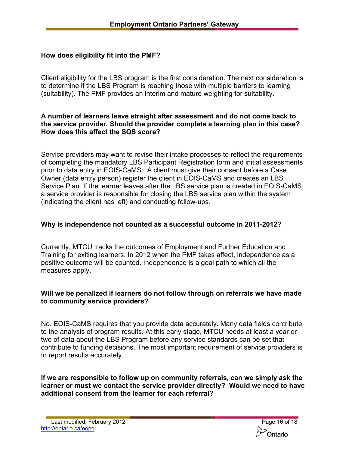## **How does eligibility fit into the PMF?**

Client eligibility for the LBS program is the first consideration. The next consideration is to determine if the LBS Program is reaching those with multiple barriers to learning (suitability). The PMF provides an interim and mature weighting for suitability.

#### **A number of learners leave straight after assessment and do not come back to the service provider. Should the provider complete a learning plan in this case? How does this affect the SQS score?**

Service providers may want to revise their intake processes to reflect the requirements of completing the mandatory LBS Participant Registration form and initial assessments prior to data entry in EOIS-CaMS. A client must give their consent before a Case Owner (data entry person) register the client in EOIS-CaMS and creates an LBS Service Plan. If the learner leaves after the LBS service plan is created in EOIS-CaMS, a service provider is responsible for closing the LBS service plan within the system (indicating the client has left) and conducting follow-ups.

## **Why is independence not counted as a successful outcome in 2011-2012?**

Currently, MTCU tracks the outcomes of Employment and Further Education and Training for exiting learners. In 2012 when the PMF takes affect, independence as a positive outcome will be counted. Independence is a goal path to which all the measures apply.

## **Will we be penalized if learners do not follow through on referrals we have made to community service providers?**

No. EOIS-CaMS requires that you provide data accurately. Many data fields contribute to the analysis of program results. At this early stage, MTCU needs at least a year or two of data about the LBS Program before any service standards can be set that contribute to funding decisions. The most important requirement of service providers is to report results accurately.

**If we are responsible to follow up on community referrals, can we simply ask the learner or must we contact the service provider directly? Would we need to have additional consent from the learner for each referral?** 

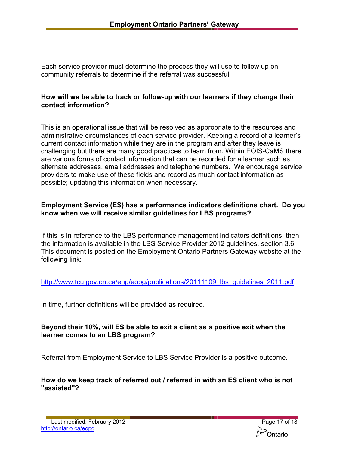Each service provider must determine the process they will use to follow up on community referrals to determine if the referral was successful.

#### **How will we be able to track or follow-up with our learners if they change their contact information?**

This is an operational issue that will be resolved as appropriate to the resources and administrative circumstances of each service provider. Keeping a record of a learner's current contact information while they are in the program and after they leave is challenging but there are many good practices to learn from. Within EOIS-CaMS there are various forms of contact information that can be recorded for a learner such as alternate addresses, email addresses and telephone numbers. We encourage service providers to make use of these fields and record as much contact information as possible; updating this information when necessary.

#### **Employment Service (ES) has a performance indicators definitions chart. Do you know when we will receive similar guidelines for LBS programs?**

If this is in reference to the LBS performance management indicators definitions, then the information is available in the LBS Service Provider 2012 guidelines, section 3.6. This document is posted on the Employment Ontario Partners Gateway website at the following link:

http://www.tcu.gov.on.ca/eng/eopg/publications/20111109 lbs\_guidelines\_2011.pdf

In time, further definitions will be provided as required.

## **Beyond their 10%, will ES be able to exit a client as a positive exit when the learner comes to an LBS program?**

Referral from Employment Service to LBS Service Provider is a positive outcome.

**How do we keep track of referred out / referred in with an ES client who is not "assisted"?**